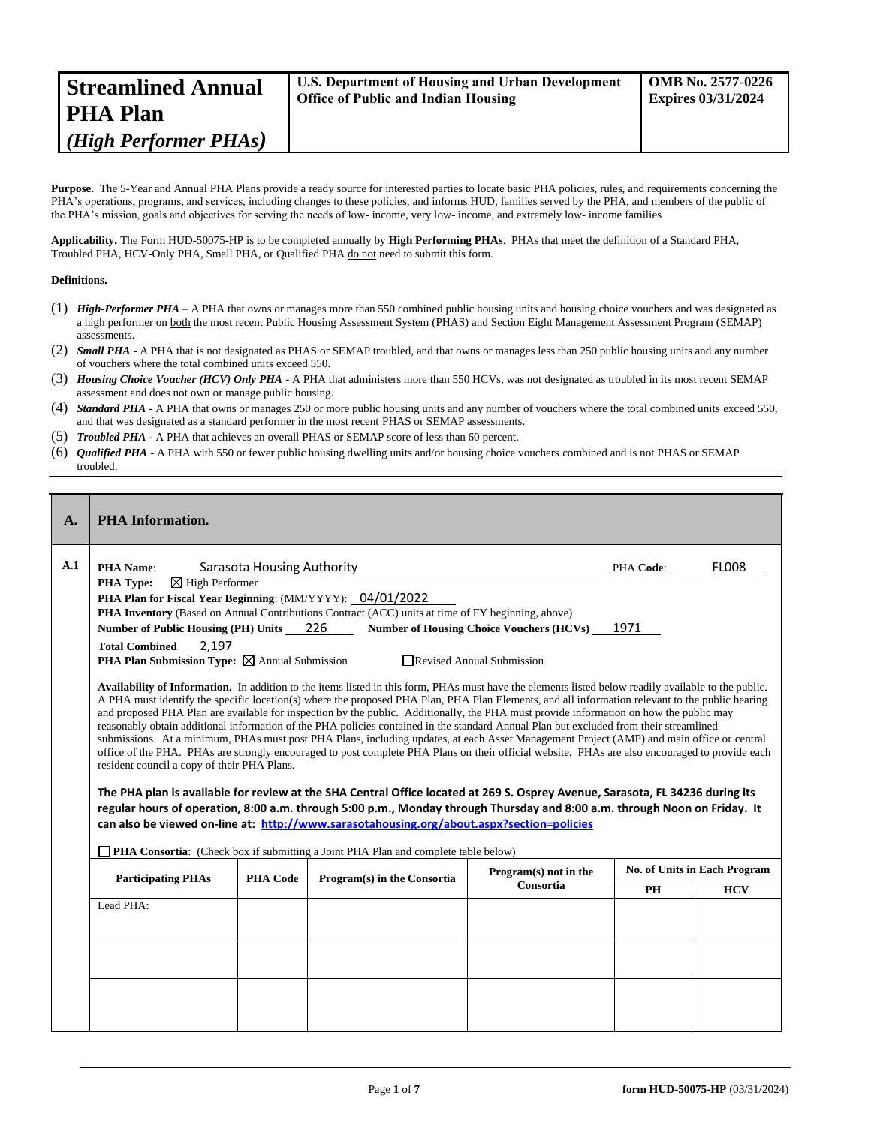| <b>Streamlined Annual</b> | U.S. Department of Housing and Urban Development | <b>OMB No. 2577-0226</b>  |
|---------------------------|--------------------------------------------------|---------------------------|
| <b>PHA Plan</b>           | <b>Office of Public and Indian Housing</b>       | <b>Expires 03/31/2024</b> |
| (High Performer PHAs)     |                                                  |                           |

Purpose. The 5-Year and Annual PHA Plans provide a ready source for interested parties to locate basic PHA policies, rules, and requirements concerning the PHA's operations, programs, and services, including changes to these policies, and informs HUD, families served by the PHA, and members of the public of the PHA's mission, goals and objectives for serving the needs of low- income, very low- income, and extremely low- income families

**Applicability.** The Form HUD-50075-HP is to be completed annually by **High Performing PHAs**. PHAs that meet the definition of a Standard PHA, Troubled PHA, HCV-Only PHA, Small PHA, or Qualified PHA do not need to submit this form.

## **Definitions.**

- (1) *High-Performer PHA* A PHA that owns or manages more than 550 combined public housing units and housing choice vouchers and was designated as a high performer on both the most recent Public Housing Assessment System (PHAS) and Section Eight Management Assessment Program (SEMAP) assessments.
- (2) *Small PHA* A PHA that is not designated as PHAS or SEMAP troubled, and that owns or manages less than 250 public housing units and any number of vouchers where the total combined units exceed 550.
- (3) *Housing Choice Voucher (HCV) Only PHA* A PHA that administers more than 550 HCVs, was not designated as troubled in its most recent SEMAP assessment and does not own or manage public housing.
- (4) *Standard PHA* A PHA that owns or manages 250 or more public housing units and any number of vouchers where the total combined units exceed 550, and that was designated as a standard performer in the most recent PHAS or SEMAP assessments.
- (5) *Troubled PHA* **-** A PHA that achieves an overall PHAS or SEMAP score of less than 60 percent.
- (6) *Qualified PHA* A PHA with 550 or fewer public housing dwelling units and/or housing choice vouchers combined and is not PHAS or SEMAP troubled.

| $\mathbf{A}$ . | <b>PHA</b> Information.                                                                                                                                                                                                                                                                                                                                                                                                                                                                                                                                                                                                                                                                                                                                                                                                                                                                                                                                                                                                                                                                                                                                                                                                                                                                                                                                                                           |                 |                                                                                                   |                                                                            |           |                              |
|----------------|---------------------------------------------------------------------------------------------------------------------------------------------------------------------------------------------------------------------------------------------------------------------------------------------------------------------------------------------------------------------------------------------------------------------------------------------------------------------------------------------------------------------------------------------------------------------------------------------------------------------------------------------------------------------------------------------------------------------------------------------------------------------------------------------------------------------------------------------------------------------------------------------------------------------------------------------------------------------------------------------------------------------------------------------------------------------------------------------------------------------------------------------------------------------------------------------------------------------------------------------------------------------------------------------------------------------------------------------------------------------------------------------------|-----------------|---------------------------------------------------------------------------------------------------|----------------------------------------------------------------------------|-----------|------------------------------|
| A.1            | <b>PHA Name:</b> Sarasota Housing Authority<br>$\boxtimes$ High Performer<br><b>PHA Type:</b><br>PHA Plan for Fiscal Year Beginning: (MM/YYYY): 04/01/2022                                                                                                                                                                                                                                                                                                                                                                                                                                                                                                                                                                                                                                                                                                                                                                                                                                                                                                                                                                                                                                                                                                                                                                                                                                        |                 | PHA Inventory (Based on Annual Contributions Contract (ACC) units at time of FY beginning, above) |                                                                            | PHA Code: | FLOO8                        |
|                | Number of Public Housing (PH) Units 226<br><b>Total Combined</b><br>2,197<br><b>PHA Plan Submission Type:</b> $\boxtimes$ Annual Submission                                                                                                                                                                                                                                                                                                                                                                                                                                                                                                                                                                                                                                                                                                                                                                                                                                                                                                                                                                                                                                                                                                                                                                                                                                                       |                 |                                                                                                   | Number of Housing Choice Vouchers (HCVs) 1971<br>Revised Annual Submission |           |                              |
|                | Availability of Information. In addition to the items listed in this form, PHAs must have the elements listed below readily available to the public.<br>A PHA must identify the specific location(s) where the proposed PHA Plan, PHA Plan Elements, and all information relevant to the public hearing<br>and proposed PHA Plan are available for inspection by the public. Additionally, the PHA must provide information on how the public may<br>reasonably obtain additional information of the PHA policies contained in the standard Annual Plan but excluded from their streamlined<br>submissions. At a minimum, PHAs must post PHA Plans, including updates, at each Asset Management Project (AMP) and main office or central<br>office of the PHA. PHAs are strongly encouraged to post complete PHA Plans on their official website. PHAs are also encouraged to provide each<br>resident council a copy of their PHA Plans.<br>The PHA plan is available for review at the SHA Central Office located at 269 S. Osprey Avenue, Sarasota, FL 34236 during its<br>regular hours of operation, 8:00 a.m. through 5:00 p.m., Monday through Thursday and 8:00 a.m. through Noon on Friday. It<br>can also be viewed on-line at: http://www.sarasotahousing.org/about.aspx?section=policies<br><b>PHA Consortia:</b> (Check box if submitting a Joint PHA Plan and complete table below) |                 |                                                                                                   |                                                                            |           |                              |
|                | <b>Participating PHAs</b>                                                                                                                                                                                                                                                                                                                                                                                                                                                                                                                                                                                                                                                                                                                                                                                                                                                                                                                                                                                                                                                                                                                                                                                                                                                                                                                                                                         | <b>PHA Code</b> | Program(s) in the Consortia                                                                       | Program(s) not in the                                                      |           | No. of Units in Each Program |
|                | Lead PHA:                                                                                                                                                                                                                                                                                                                                                                                                                                                                                                                                                                                                                                                                                                                                                                                                                                                                                                                                                                                                                                                                                                                                                                                                                                                                                                                                                                                         |                 |                                                                                                   | Consortia                                                                  | PH        | <b>HCV</b>                   |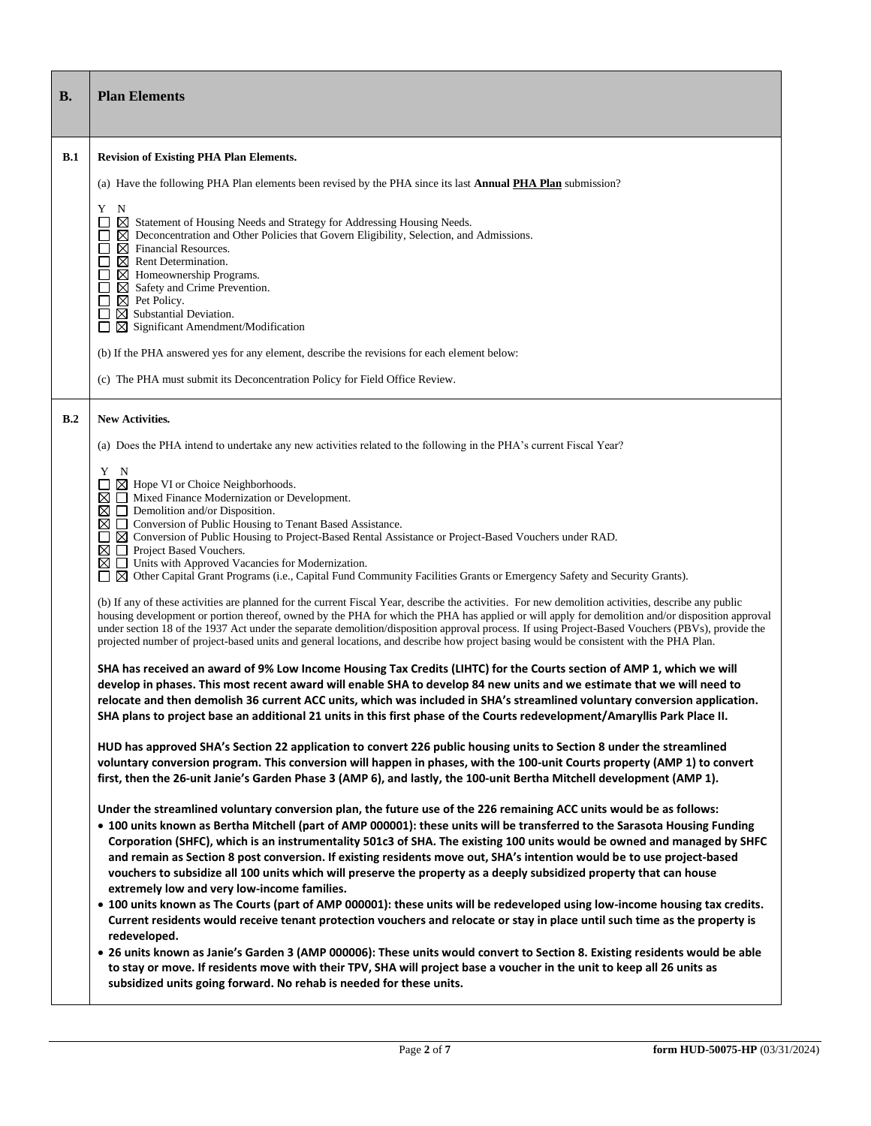| В.  | <b>Plan Elements</b>                                                                                                                                                                                                                                                                                                                                                                                                                                                                                                                                                                                                                                                                                                                                                                                                                                                                                                                                                                                                                                                                                                                                                                                                                                                                                                                                                                                                                                                                                                                                     |
|-----|----------------------------------------------------------------------------------------------------------------------------------------------------------------------------------------------------------------------------------------------------------------------------------------------------------------------------------------------------------------------------------------------------------------------------------------------------------------------------------------------------------------------------------------------------------------------------------------------------------------------------------------------------------------------------------------------------------------------------------------------------------------------------------------------------------------------------------------------------------------------------------------------------------------------------------------------------------------------------------------------------------------------------------------------------------------------------------------------------------------------------------------------------------------------------------------------------------------------------------------------------------------------------------------------------------------------------------------------------------------------------------------------------------------------------------------------------------------------------------------------------------------------------------------------------------|
| B.1 | <b>Revision of Existing PHA Plan Elements.</b>                                                                                                                                                                                                                                                                                                                                                                                                                                                                                                                                                                                                                                                                                                                                                                                                                                                                                                                                                                                                                                                                                                                                                                                                                                                                                                                                                                                                                                                                                                           |
|     | (a) Have the following PHA Plan elements been revised by the PHA since its last <b>Annual PHA Plan</b> submission?                                                                                                                                                                                                                                                                                                                                                                                                                                                                                                                                                                                                                                                                                                                                                                                                                                                                                                                                                                                                                                                                                                                                                                                                                                                                                                                                                                                                                                       |
|     | Y N<br>$\boxtimes$ Statement of Housing Needs and Strategy for Addressing Housing Needs.<br>Deconcentration and Other Policies that Govern Eligibility, Selection, and Admissions.<br>⊠<br>$\boxtimes$ Financial Resources.<br>$\boxtimes$ Rent Determination.<br>$\boxtimes$ Homeownership Programs.<br>$\boxtimes$ Safety and Crime Prevention.<br>$\boxtimes$ Pet Policy.<br>$\boxtimes$ Substantial Deviation.<br>$\blacksquare$<br>$\boxtimes$ Significant Amendment/Modification<br>(b) If the PHA answered yes for any element, describe the revisions for each element below:<br>(c) The PHA must submit its Deconcentration Policy for Field Office Review.                                                                                                                                                                                                                                                                                                                                                                                                                                                                                                                                                                                                                                                                                                                                                                                                                                                                                     |
| B.2 | <b>New Activities.</b>                                                                                                                                                                                                                                                                                                                                                                                                                                                                                                                                                                                                                                                                                                                                                                                                                                                                                                                                                                                                                                                                                                                                                                                                                                                                                                                                                                                                                                                                                                                                   |
|     | (a) Does the PHA intend to undertake any new activities related to the following in the PHA's current Fiscal Year?                                                                                                                                                                                                                                                                                                                                                                                                                                                                                                                                                                                                                                                                                                                                                                                                                                                                                                                                                                                                                                                                                                                                                                                                                                                                                                                                                                                                                                       |
|     | Y N<br>$\boxtimes$ Hope VI or Choice Neighborhoods.<br>l 1<br>Mixed Finance Modernization or Development.<br>⊠<br>$\Box$ Demolition and/or Disposition.<br>□ Conversion of Public Housing to Tenant Based Assistance.<br>⊠ Conversion of Public Housing to Project-Based Rental Assistance or Project-Based Vouchers under RAD.<br>Project Based Vouchers.<br>⊠<br>□ Units with Approved Vacancies for Modernization.<br>⊠<br>$\boxtimes$ Other Capital Grant Programs (i.e., Capital Fund Community Facilities Grants or Emergency Safety and Security Grants).<br>(b) If any of these activities are planned for the current Fiscal Year, describe the activities. For new demolition activities, describe any public<br>housing development or portion thereof, owned by the PHA for which the PHA has applied or will apply for demolition and/or disposition approval<br>under section 18 of the 1937 Act under the separate demolition/disposition approval process. If using Project-Based Vouchers (PBVs), provide the<br>projected number of project-based units and general locations, and describe how project basing would be consistent with the PHA Plan.<br>SHA has received an award of 9% Low Income Housing Tax Credits (LIHTC) for the Courts section of AMP 1, which we will<br>develop in phases. This most recent award will enable SHA to develop 84 new units and we estimate that we will need to<br>relocate and then demolish 36 current ACC units, which was included in SHA's streamlined voluntary conversion application. |
|     | SHA plans to project base an additional 21 units in this first phase of the Courts redevelopment/Amaryllis Park Place II.                                                                                                                                                                                                                                                                                                                                                                                                                                                                                                                                                                                                                                                                                                                                                                                                                                                                                                                                                                                                                                                                                                                                                                                                                                                                                                                                                                                                                                |
|     | HUD has approved SHA's Section 22 application to convert 226 public housing units to Section 8 under the streamlined<br>voluntary conversion program. This conversion will happen in phases, with the 100-unit Courts property (AMP 1) to convert<br>first, then the 26-unit Janie's Garden Phase 3 (AMP 6), and lastly, the 100-unit Bertha Mitchell development (AMP 1).                                                                                                                                                                                                                                                                                                                                                                                                                                                                                                                                                                                                                                                                                                                                                                                                                                                                                                                                                                                                                                                                                                                                                                               |
|     | Under the streamlined voluntary conversion plan, the future use of the 226 remaining ACC units would be as follows:<br>. 100 units known as Bertha Mitchell (part of AMP 000001): these units will be transferred to the Sarasota Housing Funding<br>Corporation (SHFC), which is an instrumentality 501c3 of SHA. The existing 100 units would be owned and managed by SHFC<br>and remain as Section 8 post conversion. If existing residents move out, SHA's intention would be to use project-based<br>vouchers to subsidize all 100 units which will preserve the property as a deeply subsidized property that can house<br>extremely low and very low-income families.<br>. 100 units known as The Courts (part of AMP 000001): these units will be redeveloped using low-income housing tax credits.<br>Current residents would receive tenant protection vouchers and relocate or stay in place until such time as the property is<br>redeveloped.<br>. 26 units known as Janie's Garden 3 (AMP 000006): These units would convert to Section 8. Existing residents would be able                                                                                                                                                                                                                                                                                                                                                                                                                                                                |
|     | to stay or move. If residents move with their TPV, SHA will project base a voucher in the unit to keep all 26 units as<br>subsidized units going forward. No rehab is needed for these units.                                                                                                                                                                                                                                                                                                                                                                                                                                                                                                                                                                                                                                                                                                                                                                                                                                                                                                                                                                                                                                                                                                                                                                                                                                                                                                                                                            |

٦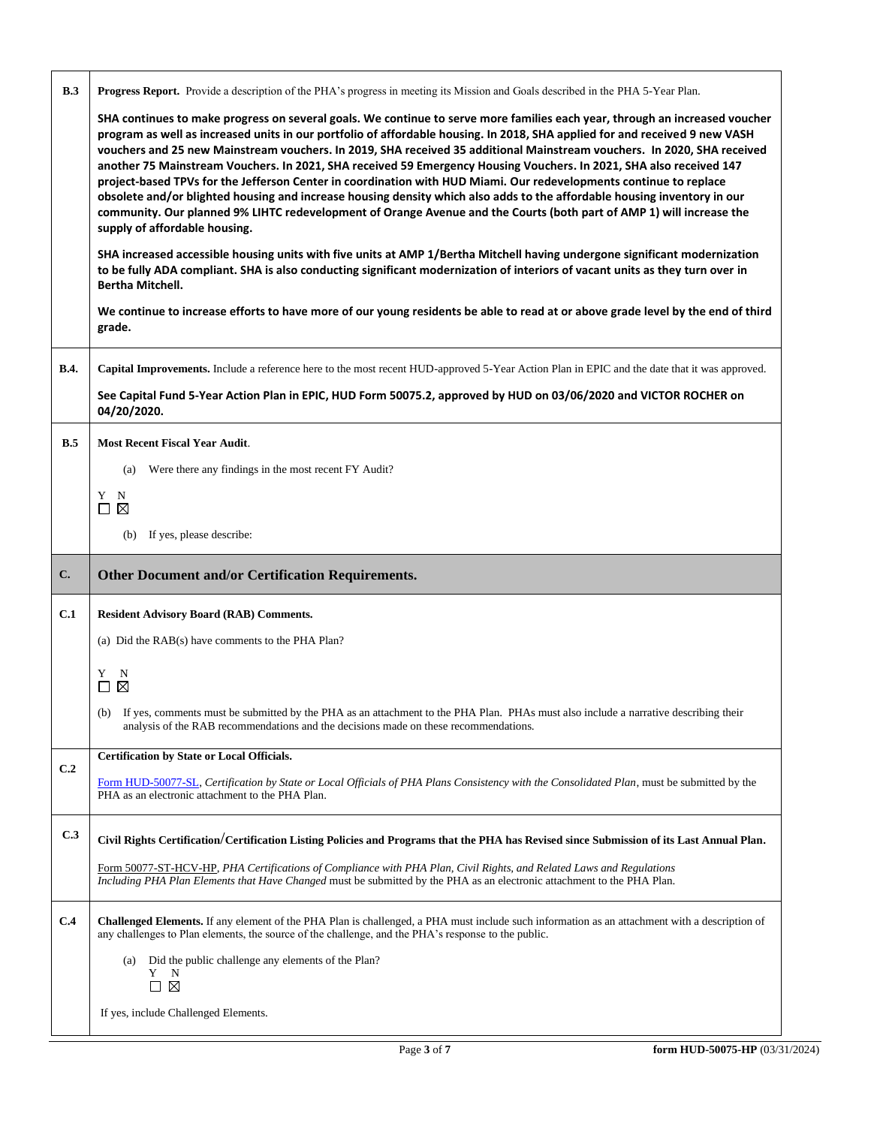| B.3            | Progress Report. Provide a description of the PHA's progress in meeting its Mission and Goals described in the PHA 5-Year Plan.                                                                                                                                                                                                                                                                                                                                                                                                                                                                                                                                                                                                                                                                                                                                                                                         |
|----------------|-------------------------------------------------------------------------------------------------------------------------------------------------------------------------------------------------------------------------------------------------------------------------------------------------------------------------------------------------------------------------------------------------------------------------------------------------------------------------------------------------------------------------------------------------------------------------------------------------------------------------------------------------------------------------------------------------------------------------------------------------------------------------------------------------------------------------------------------------------------------------------------------------------------------------|
|                | SHA continues to make progress on several goals. We continue to serve more families each year, through an increased voucher<br>program as well as increased units in our portfolio of affordable housing. In 2018, SHA applied for and received 9 new VASH<br>vouchers and 25 new Mainstream vouchers. In 2019, SHA received 35 additional Mainstream vouchers. In 2020, SHA received<br>another 75 Mainstream Vouchers. In 2021, SHA received 59 Emergency Housing Vouchers. In 2021, SHA also received 147<br>project-based TPVs for the Jefferson Center in coordination with HUD Miami. Our redevelopments continue to replace<br>obsolete and/or blighted housing and increase housing density which also adds to the affordable housing inventory in our<br>community. Our planned 9% LIHTC redevelopment of Orange Avenue and the Courts (both part of AMP 1) will increase the<br>supply of affordable housing. |
|                | SHA increased accessible housing units with five units at AMP 1/Bertha Mitchell having undergone significant modernization<br>to be fully ADA compliant. SHA is also conducting significant modernization of interiors of vacant units as they turn over in<br><b>Bertha Mitchell.</b>                                                                                                                                                                                                                                                                                                                                                                                                                                                                                                                                                                                                                                  |
|                | We continue to increase efforts to have more of our young residents be able to read at or above grade level by the end of third<br>grade.                                                                                                                                                                                                                                                                                                                                                                                                                                                                                                                                                                                                                                                                                                                                                                               |
| <b>B.4.</b>    | Capital Improvements. Include a reference here to the most recent HUD-approved 5-Year Action Plan in EPIC and the date that it was approved.                                                                                                                                                                                                                                                                                                                                                                                                                                                                                                                                                                                                                                                                                                                                                                            |
|                | See Capital Fund 5-Year Action Plan in EPIC, HUD Form 50075.2, approved by HUD on 03/06/2020 and VICTOR ROCHER on<br>04/20/2020.                                                                                                                                                                                                                                                                                                                                                                                                                                                                                                                                                                                                                                                                                                                                                                                        |
| B.5            | <b>Most Recent Fiscal Year Audit.</b>                                                                                                                                                                                                                                                                                                                                                                                                                                                                                                                                                                                                                                                                                                                                                                                                                                                                                   |
|                | Were there any findings in the most recent FY Audit?<br>(a)                                                                                                                                                                                                                                                                                                                                                                                                                                                                                                                                                                                                                                                                                                                                                                                                                                                             |
|                | Y N<br>$\Box$<br>⊠                                                                                                                                                                                                                                                                                                                                                                                                                                                                                                                                                                                                                                                                                                                                                                                                                                                                                                      |
|                | If yes, please describe:<br>(b)                                                                                                                                                                                                                                                                                                                                                                                                                                                                                                                                                                                                                                                                                                                                                                                                                                                                                         |
|                |                                                                                                                                                                                                                                                                                                                                                                                                                                                                                                                                                                                                                                                                                                                                                                                                                                                                                                                         |
| $\mathbf{C}$ . | Other Document and/or Certification Requirements.                                                                                                                                                                                                                                                                                                                                                                                                                                                                                                                                                                                                                                                                                                                                                                                                                                                                       |
| C.1            | <b>Resident Advisory Board (RAB) Comments.</b>                                                                                                                                                                                                                                                                                                                                                                                                                                                                                                                                                                                                                                                                                                                                                                                                                                                                          |
|                | (a) Did the RAB(s) have comments to the PHA Plan?                                                                                                                                                                                                                                                                                                                                                                                                                                                                                                                                                                                                                                                                                                                                                                                                                                                                       |
|                | Y<br>$\mathbf N$<br>$\boxtimes$<br>□                                                                                                                                                                                                                                                                                                                                                                                                                                                                                                                                                                                                                                                                                                                                                                                                                                                                                    |
|                | (b) If yes, comments must be submitted by the PHA as an attachment to the PHA Plan. PHAs must also include a narrative describing their<br>analysis of the RAB recommendations and the decisions made on these recommendations.                                                                                                                                                                                                                                                                                                                                                                                                                                                                                                                                                                                                                                                                                         |
|                | <b>Certification by State or Local Officials.</b>                                                                                                                                                                                                                                                                                                                                                                                                                                                                                                                                                                                                                                                                                                                                                                                                                                                                       |
| C.2            | Form HUD-50077-SL, Certification by State or Local Officials of PHA Plans Consistency with the Consolidated Plan, must be submitted by the<br>PHA as an electronic attachment to the PHA Plan.                                                                                                                                                                                                                                                                                                                                                                                                                                                                                                                                                                                                                                                                                                                          |
| C.3            | Civil Rights Certification/Certification Listing Policies and Programs that the PHA has Revised since Submission of its Last Annual Plan.                                                                                                                                                                                                                                                                                                                                                                                                                                                                                                                                                                                                                                                                                                                                                                               |
|                | Form 50077-ST-HCV-HP, PHA Certifications of Compliance with PHA Plan, Civil Rights, and Related Laws and Regulations<br>Including PHA Plan Elements that Have Changed must be submitted by the PHA as an electronic attachment to the PHA Plan.                                                                                                                                                                                                                                                                                                                                                                                                                                                                                                                                                                                                                                                                         |
| C.4            | <b>Challenged Elements.</b> If any element of the PHA Plan is challenged, a PHA must include such information as an attachment with a description of<br>any challenges to Plan elements, the source of the challenge, and the PHA's response to the public.                                                                                                                                                                                                                                                                                                                                                                                                                                                                                                                                                                                                                                                             |
|                | Did the public challenge any elements of the Plan?<br>(a)<br>Y N<br>$\square$ $\square$                                                                                                                                                                                                                                                                                                                                                                                                                                                                                                                                                                                                                                                                                                                                                                                                                                 |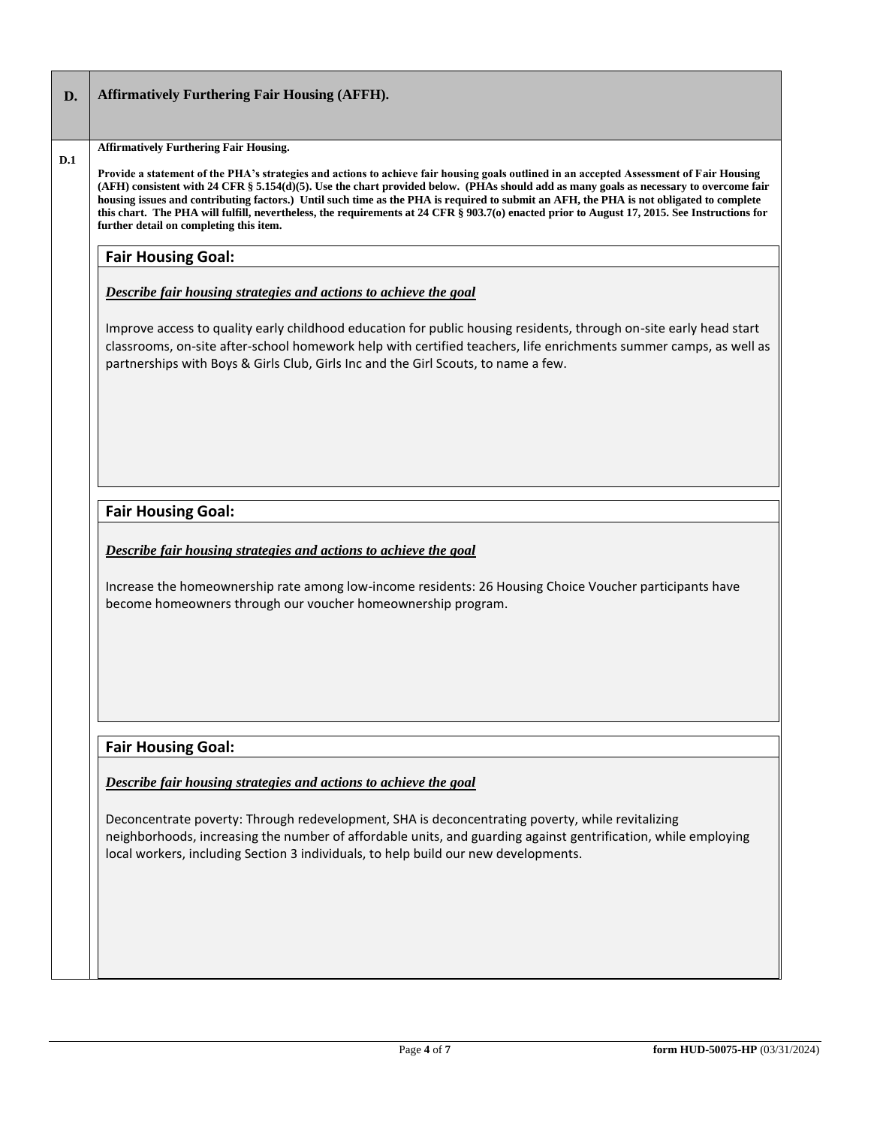| D.  | <b>Affirmatively Furthering Fair Housing (AFFH).</b>                                                                                                                                                                                                                                                                                                                                                                                                                                                                                                                                                                     |
|-----|--------------------------------------------------------------------------------------------------------------------------------------------------------------------------------------------------------------------------------------------------------------------------------------------------------------------------------------------------------------------------------------------------------------------------------------------------------------------------------------------------------------------------------------------------------------------------------------------------------------------------|
|     | <b>Affirmatively Furthering Fair Housing.</b>                                                                                                                                                                                                                                                                                                                                                                                                                                                                                                                                                                            |
| D.1 | Provide a statement of the PHA's strategies and actions to achieve fair housing goals outlined in an accepted Assessment of Fair Housing<br>(AFH) consistent with 24 CFR § 5.154(d)(5). Use the chart provided below. (PHAs should add as many goals as necessary to overcome fair<br>housing issues and contributing factors.) Until such time as the PHA is required to submit an AFH, the PHA is not obligated to complete<br>this chart. The PHA will fulfill, nevertheless, the requirements at 24 CFR § 903.7(o) enacted prior to August 17, 2015. See Instructions for<br>further detail on completing this item. |
|     | <b>Fair Housing Goal:</b>                                                                                                                                                                                                                                                                                                                                                                                                                                                                                                                                                                                                |
|     | Describe fair housing strategies and actions to achieve the goal                                                                                                                                                                                                                                                                                                                                                                                                                                                                                                                                                         |
|     | Improve access to quality early childhood education for public housing residents, through on-site early head start<br>classrooms, on-site after-school homework help with certified teachers, life enrichments summer camps, as well as<br>partnerships with Boys & Girls Club, Girls Inc and the Girl Scouts, to name a few.                                                                                                                                                                                                                                                                                            |
|     |                                                                                                                                                                                                                                                                                                                                                                                                                                                                                                                                                                                                                          |
|     |                                                                                                                                                                                                                                                                                                                                                                                                                                                                                                                                                                                                                          |
|     | <b>Fair Housing Goal:</b>                                                                                                                                                                                                                                                                                                                                                                                                                                                                                                                                                                                                |
|     | Describe fair housing strategies and actions to achieve the goal                                                                                                                                                                                                                                                                                                                                                                                                                                                                                                                                                         |
|     | Increase the homeownership rate among low-income residents: 26 Housing Choice Voucher participants have<br>become homeowners through our voucher homeownership program.                                                                                                                                                                                                                                                                                                                                                                                                                                                  |
|     |                                                                                                                                                                                                                                                                                                                                                                                                                                                                                                                                                                                                                          |
|     |                                                                                                                                                                                                                                                                                                                                                                                                                                                                                                                                                                                                                          |
|     |                                                                                                                                                                                                                                                                                                                                                                                                                                                                                                                                                                                                                          |
|     | <b>Fair Housing Goal:</b>                                                                                                                                                                                                                                                                                                                                                                                                                                                                                                                                                                                                |
|     | Describe fair housing strategies and actions to achieve the goal                                                                                                                                                                                                                                                                                                                                                                                                                                                                                                                                                         |
|     | Deconcentrate poverty: Through redevelopment, SHA is deconcentrating poverty, while revitalizing<br>neighborhoods, increasing the number of affordable units, and guarding against gentrification, while employing<br>local workers, including Section 3 individuals, to help build our new developments.                                                                                                                                                                                                                                                                                                                |
|     |                                                                                                                                                                                                                                                                                                                                                                                                                                                                                                                                                                                                                          |
|     |                                                                                                                                                                                                                                                                                                                                                                                                                                                                                                                                                                                                                          |
|     |                                                                                                                                                                                                                                                                                                                                                                                                                                                                                                                                                                                                                          |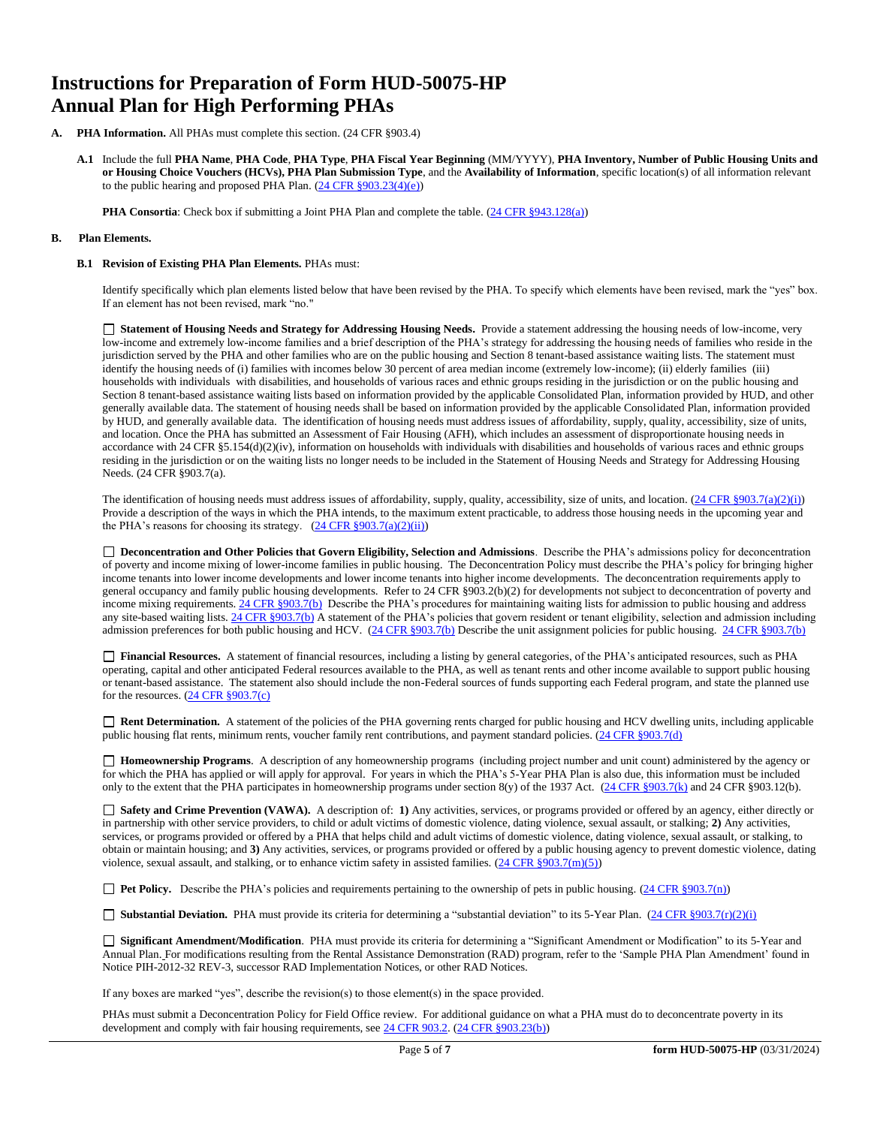# **Instructions for Preparation of Form HUD-50075-HP Annual Plan for High Performing PHAs**

- **PHA Information.** All PHAs must complete this section. (24 CFR §903.4)
	- **A.1** Include the full **PHA Name**, **PHA Code**, **PHA Type**, **PHA Fiscal Year Beginning** (MM/YYYY), **PHA Inventory, Number of Public Housing Units and or Housing Choice Vouchers (HCVs), PHA Plan Submission Type**, and the **Availability of Information**, specific location(s) of all information relevant to the public hearing and proposed PHA Plan. [\(24 CFR §903.23\(4\)\(e\)\)](http://ecfr.gpoaccess.gov/cgi/t/text/text-idx?c=ecfr&sid=13734845220744370804c20da2294a03&rgn=div5&view=text&node=24:4.0.3.1.3&idno=24#24:4.0.3.1.3.2.5.14)

**PHA Consortia**: Check box if submitting a Joint PHA Plan and complete the table. [\(24 CFR §943.128\(a\)\)](http://ecfr.gpoaccess.gov/cgi/t/text/text-idx?c=ecfr&sid=cc31cf1c3a2b84ba4ead75d35d258f67&rgn=div5&view=text&node=24:4.0.3.1.10&idno=24#24:4.0.3.1.10.2.5.7)

#### **B. Plan Elements.**

#### **B.1 Revision of Existing PHA Plan Elements.** PHAs must:

Identify specifically which plan elements listed below that have been revised by the PHA. To specify which elements have been revised, mark the "yes" box. If an element has not been revised, mark "no."

 **Statement of Housing Needs and Strategy for Addressing Housing Needs.** Provide a statement addressing the housing needs of low-income, very low-income and extremely low-income families and a brief description of the PHA's strategy for addressing the housing needs of families who reside in the jurisdiction served by the PHA and other families who are on the public housing and Section 8 tenant-based assistance waiting lists. The statement must identify the housing needs of (i) families with incomes below 30 percent of area median income (extremely low-income); (ii) elderly families (iii) households with individuals with disabilities, and households of various races and ethnic groups residing in the jurisdiction or on the public housing and Section 8 tenant-based assistance waiting lists based on information provided by the applicable Consolidated Plan, information provided by HUD, and other generally available data. The statement of housing needs shall be based on information provided by the applicable Consolidated Plan, information provided by HUD, and generally available data. The identification of housing needs must address issues of affordability, supply, quality, accessibility, size of units, and location. Once the PHA has submitted an Assessment of Fair Housing (AFH), which includes an assessment of disproportionate housing needs in accordance with 24 CFR  $\S$ 5.154(d)(2)(iv), information on households with individuals with disabilities and households of various races and ethnic groups residing in the jurisdiction or on the waiting lists no longer needs to be included in the Statement of Housing Needs and Strategy for Addressing Housing Needs. (24 CFR §903.7(a).

The identification of housing needs must address issues of affordability, supply, quality, accessibility, size of units, and location.  $(24 \text{ CFR } $903.7(a)(2)(i))$ Provide a description of the ways in which the PHA intends, to the maximum extent practicable, to address those housing needs in the upcoming year and the PHA's reasons for choosing its strategy.  $(24 \text{ CFR } \frac{8903.7(a)(2)(ii)}{i})$ 

□ **Deconcentration and Other Policies that Govern Eligibility, Selection and Admissions**. Describe the PHA's admissions policy for deconcentration of poverty and income mixing of lower-income families in public housing. The Deconcentration Policy must describe the PHA's policy for bringing higher income tenants into lower income developments and lower income tenants into higher income developments. The deconcentration requirements apply to general occupancy and family public housing developments. Refer to 24 CFR §903.2(b)(2) for developments not subject to deconcentration of poverty and income mixing requirements. [24 CFR §903.7\(b\)](http://ecfr.gpoaccess.gov/cgi/t/text/text-idx?c=ecfr&sid=b44bf19bef93dd31287608d2c687e271&rgn=div5&view=text&node=24:4.0.3.1.3&idno=24#24:4.0.3.1.3.2.5.5) Describe the PHA's procedures for maintaining waiting lists for admission to public housing and address any site-based waiting lists[. 24 CFR §903.7\(b\)](http://ecfr.gpoaccess.gov/cgi/t/text/text-idx?c=ecfr&sid=b44bf19bef93dd31287608d2c687e271&rgn=div5&view=text&node=24:4.0.3.1.3&idno=24#24:4.0.3.1.3.2.5.5) A statement of the PHA's policies that govern resident or tenant eligibility, selection and admission including admission preferences for both public housing and HCV. [\(24 CFR §903.7\(b\)](http://ecfr.gpoaccess.gov/cgi/t/text/text-idx?c=ecfr&sid=b44bf19bef93dd31287608d2c687e271&rgn=div5&view=text&node=24:4.0.3.1.3&idno=24#24:4.0.3.1.3.2.5.5) Describe the unit assignment policies for public housing. [24 CFR §903.7\(b\)](http://ecfr.gpoaccess.gov/cgi/t/text/text-idx?c=ecfr&sid=b44bf19bef93dd31287608d2c687e271&rgn=div5&view=text&node=24:4.0.3.1.3&idno=24#24:4.0.3.1.3.2.5.5)

 **Financial Resources.** A statement of financial resources, including a listing by general categories, of the PHA's anticipated resources, such as PHA operating, capital and other anticipated Federal resources available to the PHA, as well as tenant rents and other income available to support public housing or tenant-based assistance. The statement also should include the non-Federal sources of funds supporting each Federal program, and state the planned use for the resources. [\(24 CFR §903.7\(c\)](http://ecfr.gpoaccess.gov/cgi/t/text/text-idx?c=ecfr&sid=b44bf19bef93dd31287608d2c687e271&rgn=div5&view=text&node=24:4.0.3.1.3&idno=24)

■ **Rent Determination.** A statement of the policies of the PHA governing rents charged for public housing and HCV dwelling units, including applicable public housing flat rents, minimum rents, voucher family rent contributions, and payment standard policies. [\(24 CFR §903.7\(d\)](http://ecfr.gpoaccess.gov/cgi/t/text/text-idx?c=ecfr&sid=b44bf19bef93dd31287608d2c687e271&rgn=div5&view=text&node=24:4.0.3.1.3&idno=24#24:4.0.3.1.3.2.5.5)

 **Homeownership Programs**. A description of any homeownership programs (including project number and unit count) administered by the agency or for which the PHA has applied or will apply for approval. For years in which the PHA's 5-Year PHA Plan is also due, this information must be included only to the extent that the PHA participates in homeownership programs under section 8(y) of the 1937 Act.  $(24 \text{ CFR } §903.7(k)$  and 24 CFR §903.12(b).

 **Safety and Crime Prevention (VAWA).** A description of: **1)** Any activities, services, or programs provided or offered by an agency, either directly or in partnership with other service providers, to child or adult victims of domestic violence, dating violence, sexual assault, or stalking; **2)** Any activities, services, or programs provided or offered by a PHA that helps child and adult victims of domestic violence, dating violence, sexual assault, or stalking, to obtain or maintain housing; and **3)** Any activities, services, or programs provided or offered by a public housing agency to prevent domestic violence, dating violence, sexual assault, and stalking, or to enhance victim safety in assisted families.  $(24 \text{ CFR } \text{\textless} 903.7(m)(5))$ 

**Pet Policy.** Describe the PHA's policies and requirements pertaining to the ownership of pets in public housing. [\(24 CFR §903.7\(n\)\)](http://ecfr.gpoaccess.gov/cgi/t/text/text-idx?c=ecfr&sid=13734845220744370804c20da2294a03&rgn=div5&view=text&node=24:4.0.3.1.3&idno=24#24:4.0.3.1.3.2.5.5)

**Substantial Deviation.** PHA must provide its criteria for determining a "substantial deviation" to its 5-Year Plan. (24 CFR §903.7(r)(2)(i)

 **Significant Amendment/Modification**. PHA must provide its criteria for determining a "Significant Amendment or Modification" to its 5-Year and Annual Plan. For modifications resulting from the Rental Assistance Demonstration (RAD) program, refer to the 'Sample PHA Plan Amendment' found in Notice PIH-2012-32 REV-3, successor RAD Implementation Notices, or other RAD Notices.

If any boxes are marked "yes", describe the revision(s) to those element(s) in the space provided.

PHAs must submit a Deconcentration Policy for Field Office review. For additional guidance on what a PHA must do to deconcentrate poverty in its development and comply with fair housing requirements, se[e 24 CFR 903.2.](http://ecfr.gpoaccess.gov/cgi/t/text/text-idx?c=ecfr&sid=31b6a8e6f1110b36cc115eb6e4d5e3b4&rgn=div5&view=text&node=24:4.0.3.1.3&idno=24#24:4.0.3.1.3.1.5.2) [\(24 CFR §903.23\(b\)\)](http://ecfr.gpoaccess.gov/cgi/t/text/text-idx?c=ecfr&sid=13734845220744370804c20da2294a03&rgn=div5&view=text&node=24:4.0.3.1.3&idno=24#24:4.0.3.1.3.2.5.9)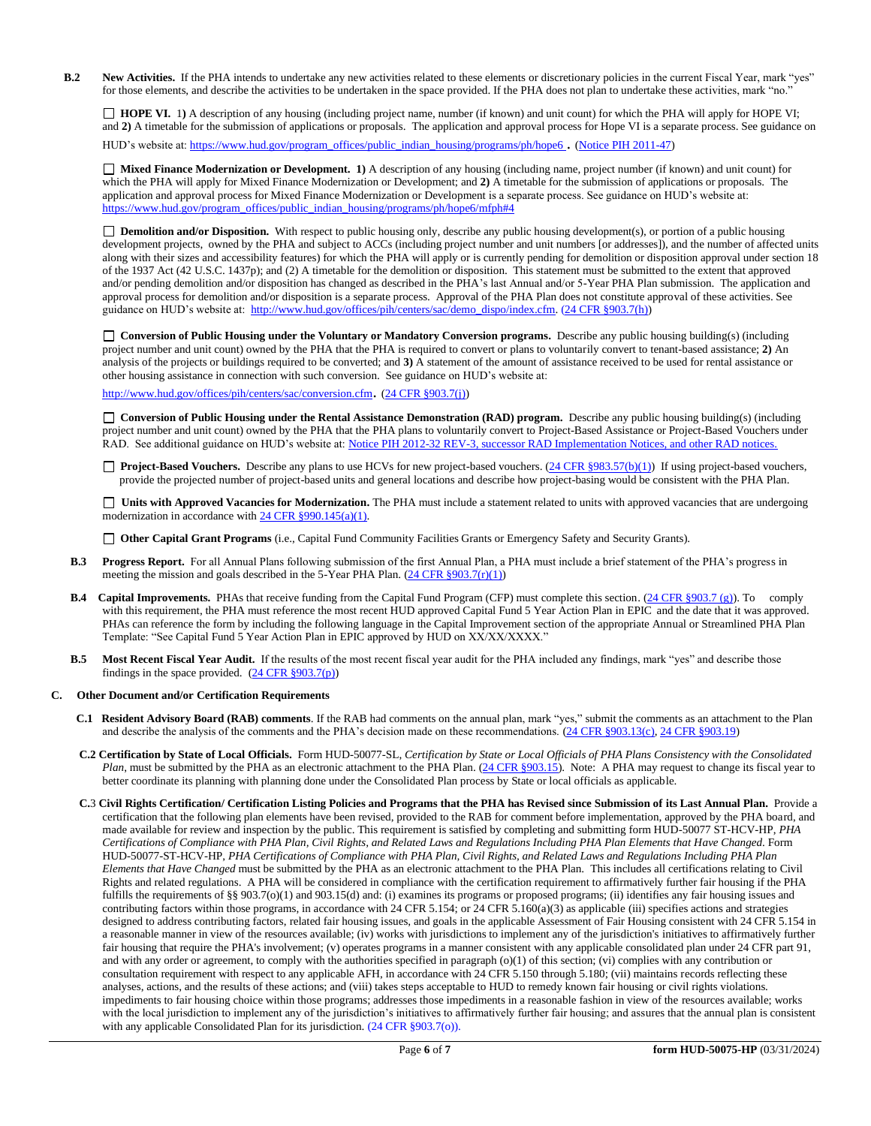**B.2** New Activities. If the PHA intends to undertake any new activities related to these elements or discretionary policies in the current Fiscal Year, mark "yes" for those elements, and describe the activities to be undertaken in the space provided. If the PHA does not plan to undertake these activities, mark "no."

□ **HOPE VI.** 1) A description of any housing (including project name, number (if known) and unit count) for which the PHA will apply for HOPE VI; and 2) A timetable for the submission of applications or proposals. The application and approval process for Hope VI is a separate process. See guidance on

HUD's website at[: https://www.hud.gov/program\\_offices/public\\_indian\\_housing/programs/ph/hope6](https://www.hud.gov/program_offices/public_indian_housing/programs/ph/hope6) . [\(Notice PIH 2011-47\)](http://www.hud.gov/offices/adm/hudclips/notices/pih/07pihnotices.cfm)

 **Mixed Finance Modernization or Development. 1)** A description of any housing (including name, project number (if known) and unit count) for which the PHA will apply for Mixed Finance Modernization or Development; and **2)** A timetable for the submission of applications or proposals. The application and approval process for Mixed Finance Modernization or Development is a separate process. See guidance on HUD's website at: [https://www.hud.gov/program\\_offices/public\\_indian\\_housing/programs/ph/hope6/mfph#4](https://www.hud.gov/program_offices/public_indian_housing/programs/ph/hope6/mfph#4)

 **Demolition and/or Disposition.** With respect to public housing only, describe any public housing development(s), or portion of a public housing development projects, owned by the PHA and subject to ACCs (including project number and unit numbers [or addresses]), and the number of affected units along with their sizes and accessibility features) for which the PHA will apply or is currently pending for demolition or disposition approval under section 18 of the 1937 Act (42 U.S.C. 1437p); and (2) A timetable for the demolition or disposition. This statement must be submitted to the extent that approved and/or pending demolition and/or disposition has changed as described in the PHA's last Annual and/or 5-Year PHA Plan submission. The application and approval process for demolition and/or disposition is a separate process. Approval of the PHA Plan does not constitute approval of these activities. See guidance on HUD's website at: [http://www.hud.gov/offices/pih/centers/sac/demo\\_dispo/index.cfm.](http://www.hud.gov/offices/pih/centers/sac/demo_dispo/index.cfm) [\(24 CFR §903.7\(h\)\)](http://ecfr.gpoaccess.gov/cgi/t/text/text-idx?c=ecfr&sid=13734845220744370804c20da2294a03&rgn=div5&view=text&node=24:4.0.3.1.3&idno=24#24:4.0.3.1.3.2.5.5)

**Conversion of Public Housing under the Voluntary or Mandatory Conversion programs.** Describe any public housing building(s) (including project number and unit count) owned by the PHA that the PHA is required to convert or plans to voluntarily convert to tenant-based assistance; **2)** An analysis of the projects or buildings required to be converted; and **3)** A statement of the amount of assistance received to be used for rental assistance or other housing assistance in connection with such conversion. See guidance on HUD's website at:

<http://www.hud.gov/offices/pih/centers/sac/conversion.cfm>. [\(24 CFR §903.7\(j\)\)](http://ecfr.gpoaccess.gov/cgi/t/text/text-idx?c=ecfr&sid=13734845220744370804c20da2294a03&rgn=div5&view=text&node=24:4.0.3.1.3&idno=24#24:4.0.3.1.3.2.5.5)

**Conversion of Public Housing under the Rental Assistance Demonstration (RAD) program.** Describe any public housing building(s) (including project number and unit count) owned by the PHA that the PHA plans to voluntarily convert to Project-Based Assistance or Project-Based Vouchers under RAD. See additional guidance on HUD's website at: [Notice PIH 2012-32](http://portal.hud.gov/hudportal/HUD?src=/program_offices/administration/hudclips/notices/pih/12pihnotices) REV-3, successor RAD Implementation Notices, and other RAD notices.

□ **Project-Based Vouchers.** Describe any plans to use HCVs for new project-based vouchers. [\(24 CFR §983.57\(b\)\(1\)\)](http://ecfr.gpoaccess.gov/cgi/t/text/text-idx?c=ecfr&sid=b44bf19bef93dd31287608d2c687e271&rgn=div5&view=text&node=24:4.0.3.1.24&idno=24#24:4.0.3.1.24.2.41.7) If using project-based vouchers, provide the projected number of project-based units and general locations and describe how project-basing would be consistent with the PHA Plan.

 **Units with Approved Vacancies for Modernization.** The PHA must include a statement related to units with approved vacancies that are undergoing modernization in accordance wit[h 24 CFR §990.145\(a\)\(1\).](http://www.ecfr.gov/cgi-bin/retrieveECFR?gp=1&SID=861f819542172e8e9912b8c1348ee120&ty=HTML&h=L&n=24y4.0.3.1.23&r=PART)

**Other Capital Grant Programs** (i.e., Capital Fund Community Facilities Grants or Emergency Safety and Security Grants).

- **B.3 Progress Report.** For all Annual Plans following submission of the first Annual Plan, a PHA must include a brief statement of the PHA's progress in meeting the mission and goals described in the 5-Year PHA Plan.  $(24 \text{ CFR } \frac{8903.7(r)(1)}{r})$
- **B.4** Capital Improvements. PHAs that receive funding from the Capital Fund Program (CFP) must complete this section. [\(24 CFR §903.7 \(g\)\)](http://ecfr.gpoaccess.gov/cgi/t/text/text-idx?c=ecfr&sid=0885bb33f96a064e6519e07d66d87fd6&rgn=div5&view=text&node=24:4.0.3.1.3&idno=24#24:4.0.3.1.3.2.5.5). To comply with this requirement, the PHA must reference the most recent HUD approved Capital Fund 5 Year Action Plan in EPIC and the date that it was approved. PHAs can reference the form by including the following language in the Capital Improvement section of the appropriate Annual or Streamlined PHA Plan Template: "See Capital Fund 5 Year Action Plan in EPIC approved by HUD on XX/XX/XXXX."
- **B.5 Most Recent Fiscal Year Audit.** If the results of the most recent fiscal year audit for the PHA included any findings, mark "yes" and describe those findings in the space provided.  $(24 \text{ CFR } \S 903.7(p))$

## **C. Other Document and/or Certification Requirements**

- **C.1 Resident Advisory Board (RAB) comments**. If the RAB had comments on the annual plan, mark "yes," submit the comments as an attachment to the Plan and describe the analysis of the comments and the PHA's decision made on these recommendations. [\(24 CFR §903.13\(c\),](http://ecfr.gpoaccess.gov/cgi/t/text/text-idx?c=ecfr&sid=13734845220744370804c20da2294a03&rgn=div5&view=text&node=24:4.0.3.1.3&idno=24#24:4.0.3.1.3.2.5.9) [24 CFR §903.19\)](http://ecfr.gpoaccess.gov/cgi/t/text/text-idx?c=ecfr&sid=f41eb312b1425d2a95a2478fde61e11f&rgn=div5&view=text&node=24:4.0.3.1.3&idno=24#24:4.0.3.1.3.2.5.12)
- **C.2 Certification by State of Local Officials.** Form HUD-50077-SL, *Certification by State or Local Officials of PHA Plans Consistency with the Consolidated Plan*, must be submitted by the PHA as an electronic attachment to the PHA Plan. [\(24 CFR §903.15\)](http://ecfr.gpoaccess.gov/cgi/t/text/text-idx?c=ecfr&sid=929855241bbc0873ac4be47579a4d2bf&rgn=div5&view=text&node=24:4.0.3.1.3&idno=24#24:4.0.3.1.3.2.5.10). Note: A PHA may request to change its fiscal year to better coordinate its planning with planning done under the Consolidated Plan process by State or local officials as applicable.
- **C.**3 **Civil Rights Certification/ Certification Listing Policies and Programs that the PHA has Revised since Submission of its Last Annual Plan.** Provide a certification that the following plan elements have been revised, provided to the RAB for comment before implementation, approved by the PHA board, and made available for review and inspection by the public. This requirement is satisfied by completing and submitting form HUD-50077 ST-HCV-HP, *PHA Certifications of Compliance with PHA Plan, Civil Rights, and Related Laws and Regulations Including PHA Plan Elements that Have Changed*. Form HUD-50077-ST-HCV-HP, *PHA Certifications of Compliance with PHA Plan, Civil Rights, and Related Laws and Regulations Including PHA Plan Elements that Have Changed* must be submitted by the PHA as an electronic attachment to the PHA Plan. This includes all certifications relating to Civil Rights and related regulations. A PHA will be considered in compliance with the certification requirement to affirmatively further fair housing if the PHA fulfills the requirements of §§ 903.7(o)(1) and 903.15(d) and: (i) examines its programs or proposed programs; (ii) identifies any fair housing issues and contributing factors within those programs, in accordance with 24 CFR 5.154; or 24 CFR 5.160(a)(3) as applicable (iii) specifies actions and strategies designed to address contributing factors, related fair housing issues, and goals in the applicable Assessment of Fair Housing consistent with 24 CFR 5.154 in a reasonable manner in view of the resources available; (iv) works with jurisdictions to implement any of the jurisdiction's initiatives to affirmatively further fair housing that require the PHA's involvement; (v) operates programs in a manner consistent with any applicable consolidated plan under 24 CFR part 91, and with any order or agreement, to comply with the authorities specified in paragraph (o)(1) of this section; (vi) complies with any contribution or consultation requirement with respect to any applicable AFH, in accordance with 24 CFR 5.150 through 5.180; (vii) maintains records reflecting these analyses, actions, and the results of these actions; and (viii) takes steps acceptable to HUD to remedy known fair housing or civil rights violations. impediments to fair housing choice within those programs; addresses those impediments in a reasonable fashion in view of the resources available; works with the local jurisdiction to implement any of the jurisdiction's initiatives to affirmatively further fair housing; and assures that the annual plan is consistent with any applicable Consolidated Plan for its jurisdiction. (24 CFR §903.7(o)).